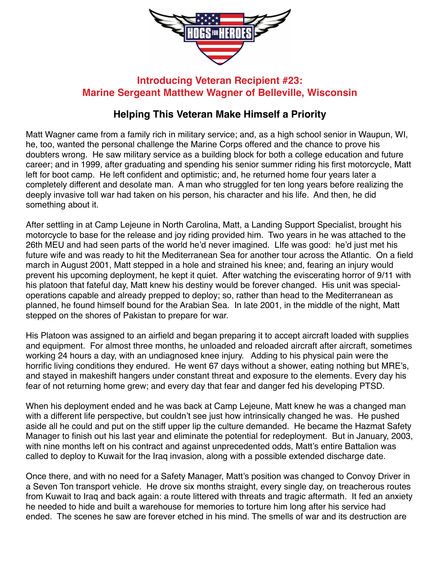

## **Introducing Veteran Recipient #23: Marine Sergeant Matthew Wagner of Belleville, Wisconsin**

## **Helping This Veteran Make Himself a Priority**

Matt Wagner came from a family rich in military service; and, as a high school senior in Waupun, WI, he, too, wanted the personal challenge the Marine Corps offered and the chance to prove his doubters wrong. He saw military service as a building block for both a college education and future career; and in 1999, after graduating and spending his senior summer riding his first motorcycle, Matt left for boot camp. He left confident and optimistic; and, he returned home four years later a completely different and desolate man. A man who struggled for ten long years before realizing the deeply invasive toll war had taken on his person, his character and his life. And then, he did something about it.

After settling in at Camp Lejeune in North Carolina, Matt, a Landing Support Specialist, brought his motorcycle to base for the release and joy riding provided him. Two years in he was attached to the 26th MEU and had seen parts of the world he'd never imagined. LIfe was good: he'd just met his future wife and was ready to hit the Mediterranean Sea for another tour across the Atlantic. On a field march in August 2001, Matt stepped in a hole and strained his knee; and, fearing an injury would prevent his upcoming deployment, he kept it quiet. After watching the eviscerating horror of 9/11 with his platoon that fateful day, Matt knew his destiny would be forever changed. His unit was specialoperations capable and already prepped to deploy; so, rather than head to the Mediterranean as planned, he found himself bound for the Arabian Sea. In late 2001, in the middle of the night, Matt stepped on the shores of Pakistan to prepare for war.

His Platoon was assigned to an airfield and began preparing it to accept aircraft loaded with supplies and equipment. For almost three months, he unloaded and reloaded aircraft after aircraft, sometimes working 24 hours a day, with an undiagnosed knee injury. Adding to his physical pain were the horrific living conditions they endured. He went 67 days without a shower, eating nothing but MRE's, and stayed in makeshift hangers under constant threat and exposure to the elements. Every day his fear of not returning home grew; and every day that fear and danger fed his developing PTSD.

When his deployment ended and he was back at Camp Lejeune, Matt knew he was a changed man with a different life perspective, but couldn't see just how intrinsically changed he was. He pushed aside all he could and put on the stiff upper lip the culture demanded. He became the Hazmat Safety Manager to finish out his last year and eliminate the potential for redeployment. But in January, 2003, with nine months left on his contract and against unprecedented odds, Matt's entire Battalion was called to deploy to Kuwait for the Iraq invasion, along with a possible extended discharge date.

Once there, and with no need for a Safety Manager, Matt's position was changed to Convoy Driver in a Seven Ton transport vehicle. He drove six months straight, every single day, on treacherous routes from Kuwait to Iraq and back again: a route littered with threats and tragic aftermath. It fed an anxiety he needed to hide and built a warehouse for memories to torture him long after his service had ended. The scenes he saw are forever etched in his mind. The smells of war and its destruction are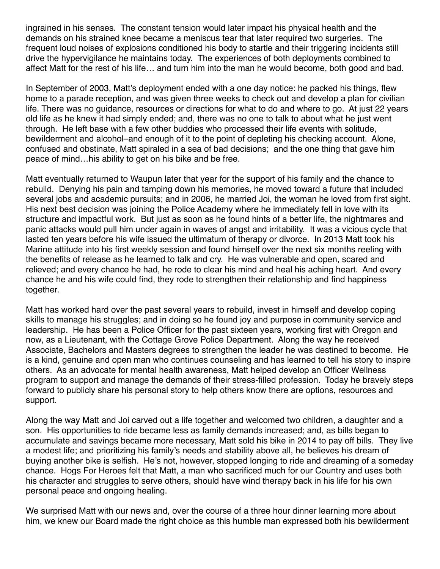ingrained in his senses. The constant tension would later impact his physical health and the demands on his strained knee became a meniscus tear that later required two surgeries. The frequent loud noises of explosions conditioned his body to startle and their triggering incidents still drive the hypervigilance he maintains today. The experiences of both deployments combined to affect Matt for the rest of his life… and turn him into the man he would become, both good and bad.

In September of 2003, Matt's deployment ended with a one day notice: he packed his things, flew home to a parade reception, and was given three weeks to check out and develop a plan for civilian life. There was no guidance, resources or directions for what to do and where to go. At just 22 years old life as he knew it had simply ended; and, there was no one to talk to about what he just went through. He left base with a few other buddies who processed their life events with solitude, bewilderment and alcohol–and enough of it to the point of depleting his checking account. Alone, confused and obstinate, Matt spiraled in a sea of bad decisions; and the one thing that gave him peace of mind…his ability to get on his bike and be free.

Matt eventually returned to Waupun later that year for the support of his family and the chance to rebuild. Denying his pain and tamping down his memories, he moved toward a future that included several jobs and academic pursuits; and in 2006, he married Joi, the woman he loved from first sight. His next best decision was joining the Police Academy where he immediately fell in love with its structure and impactful work. But just as soon as he found hints of a better life, the nightmares and panic attacks would pull him under again in waves of angst and irritability. It was a vicious cycle that lasted ten years before his wife issued the ultimatum of therapy or divorce. In 2013 Matt took his Marine attitude into his first weekly session and found himself over the next six months reeling with the benefits of release as he learned to talk and cry. He was vulnerable and open, scared and relieved; and every chance he had, he rode to clear his mind and heal his aching heart. And every chance he and his wife could find, they rode to strengthen their relationship and find happiness together.

Matt has worked hard over the past several years to rebuild, invest in himself and develop coping skills to manage his struggles; and in doing so he found joy and purpose in community service and leadership. He has been a Police Officer for the past sixteen years, working first with Oregon and now, as a Lieutenant, with the Cottage Grove Police Department. Along the way he received Associate, Bachelors and Masters degrees to strengthen the leader he was destined to become. He is a kind, genuine and open man who continues counseling and has learned to tell his story to inspire others. As an advocate for mental health awareness, Matt helped develop an Officer Wellness program to support and manage the demands of their stress-filled profession. Today he bravely steps forward to publicly share his personal story to help others know there are options, resources and support.

Along the way Matt and Joi carved out a life together and welcomed two children, a daughter and a son. His opportunities to ride became less as family demands increased; and, as bills began to accumulate and savings became more necessary, Matt sold his bike in 2014 to pay off bills. They live a modest life; and prioritizing his family's needs and stability above all, he believes his dream of buying another bike is selfish. He's not, however, stopped longing to ride and dreaming of a someday chance. Hogs For Heroes felt that Matt, a man who sacrificed much for our Country and uses both his character and struggles to serve others, should have wind therapy back in his life for his own personal peace and ongoing healing.

We surprised Matt with our news and, over the course of a three hour dinner learning more about him, we knew our Board made the right choice as this humble man expressed both his bewilderment